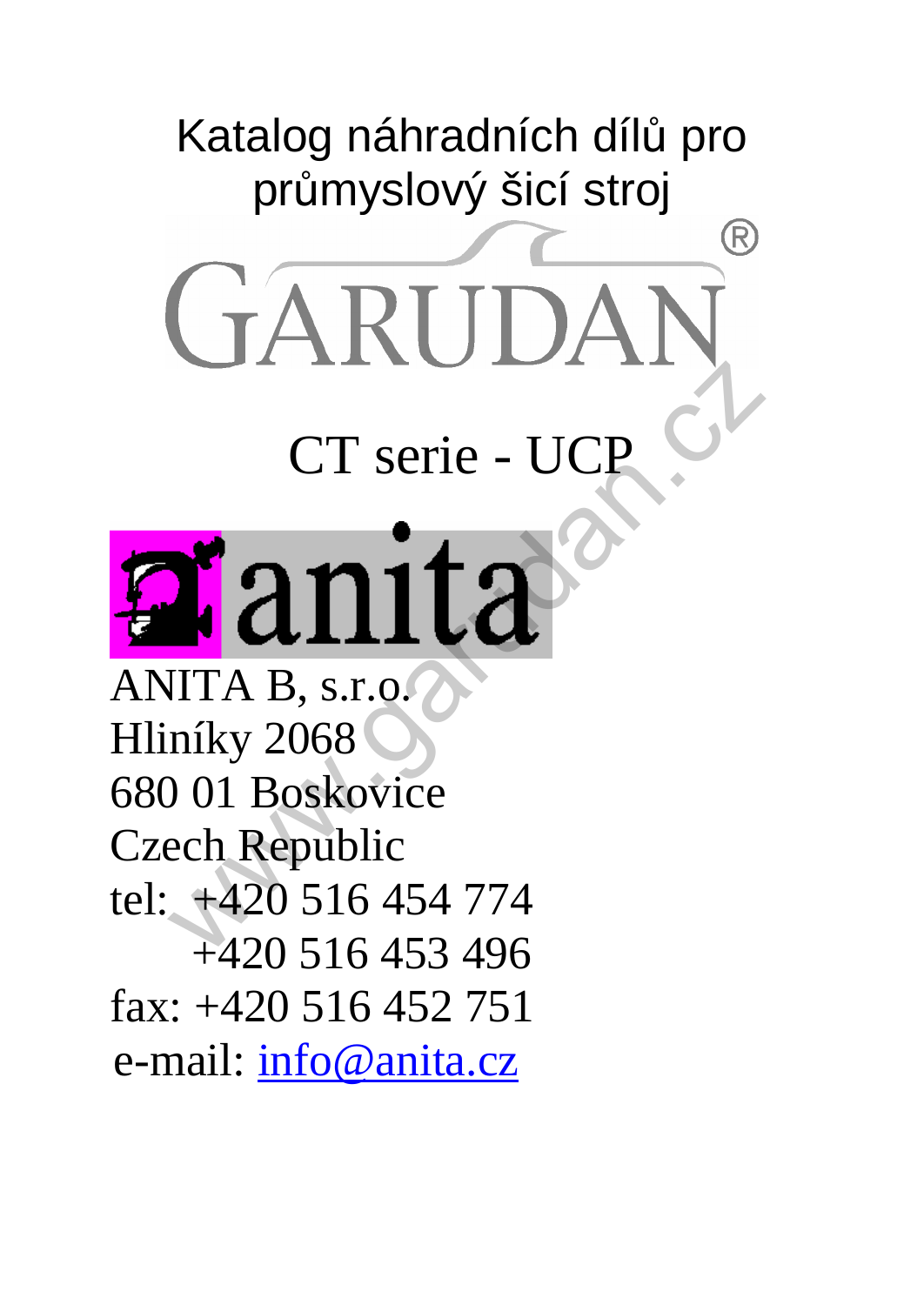## Katalog náhradních dílů pro průmyslový šicí stroj  $\mathsf R$

CT serie - UC



**CTARUT** 

ANITA B, s.r.o. Hliníky 2068 680 01 Boskovice Czech Republic tel: +420 516 454 774 +420 516 453 496 fax: +420 516 452 751 e-mail: [info@anita.cz](mailto:info@anita.cz)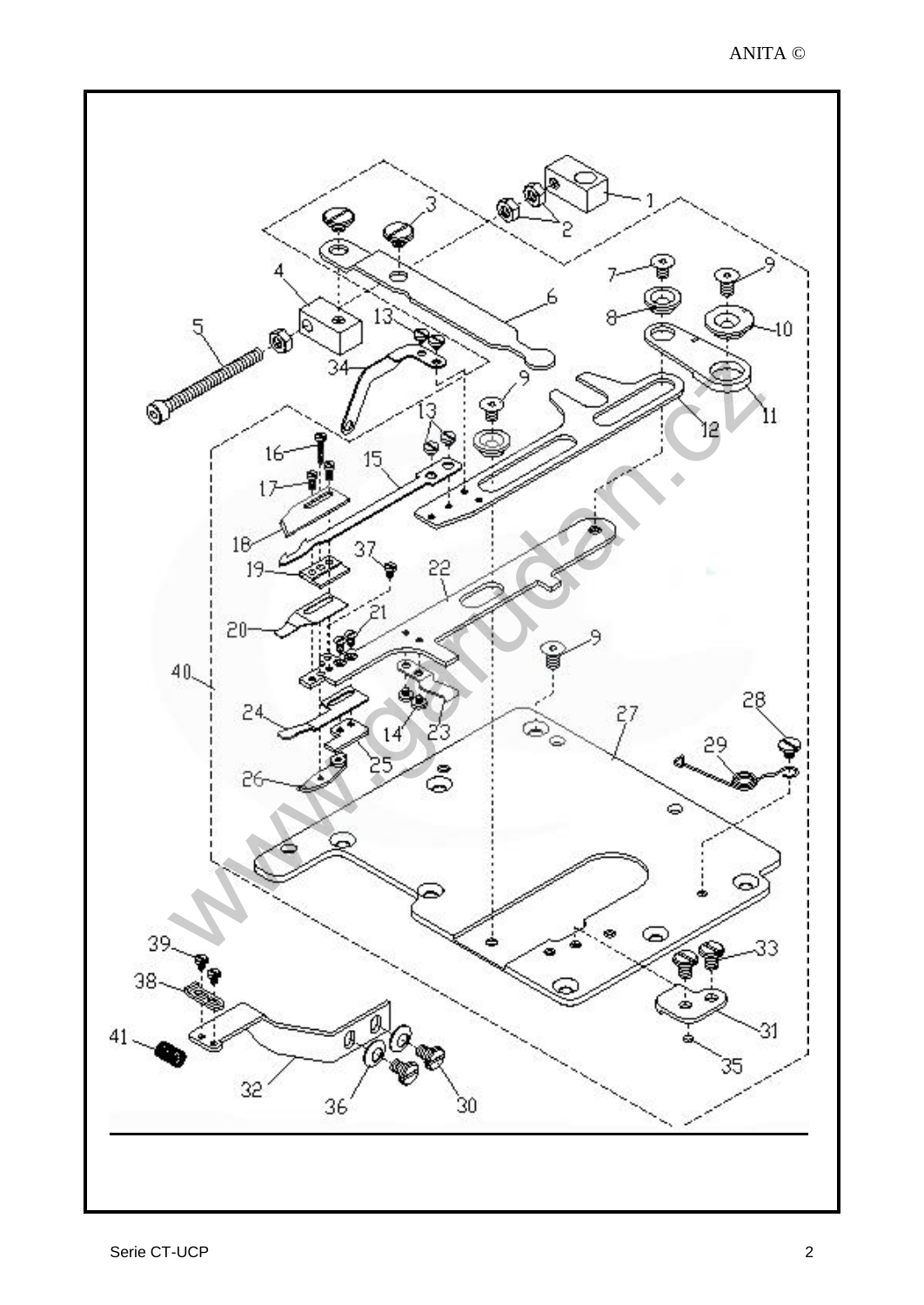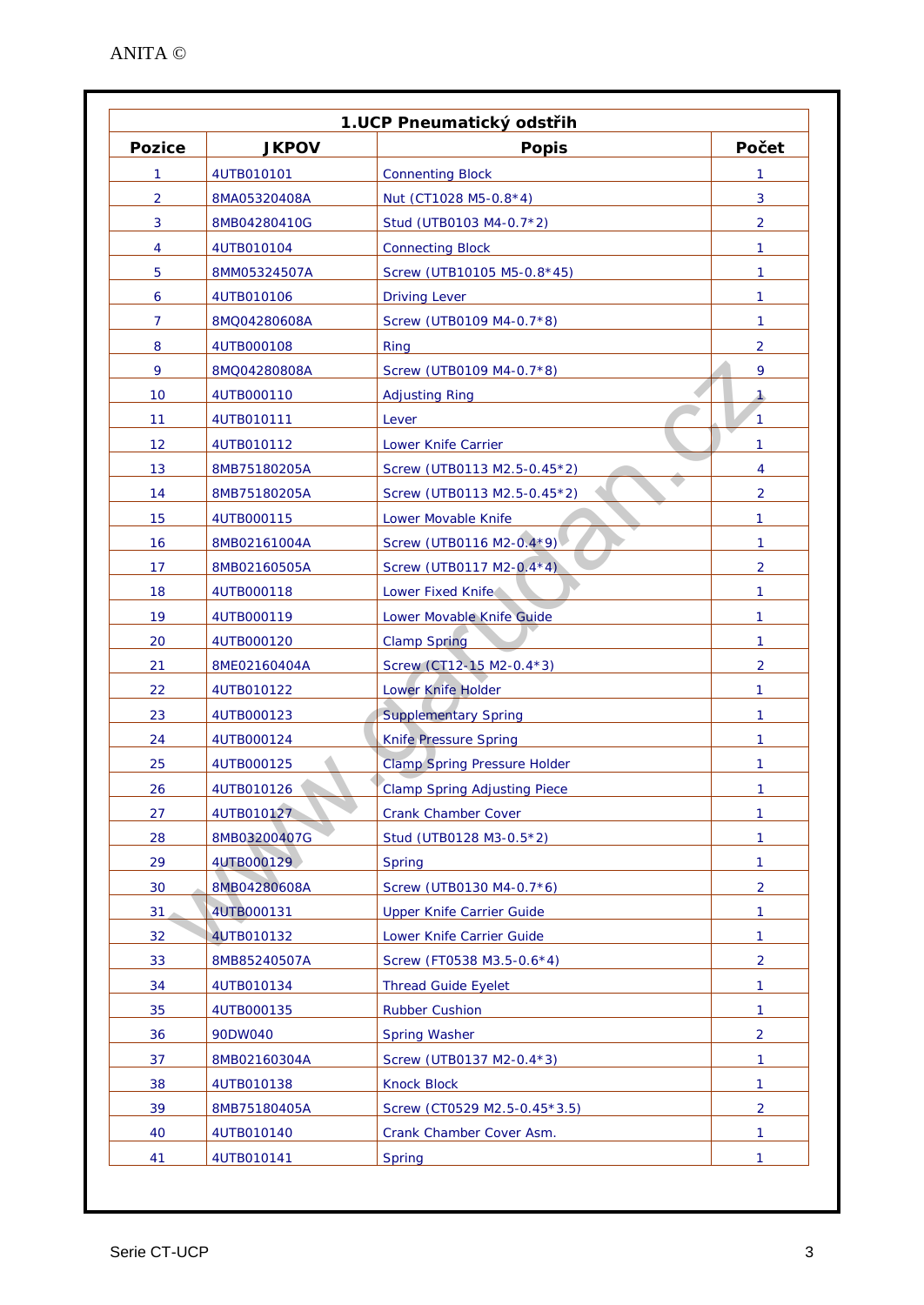| <b>Pozice</b>  | <b>JKPOV</b> | <b>Popis</b>                        | Počet                   |
|----------------|--------------|-------------------------------------|-------------------------|
| 1              | 4UTB010101   | <b>Connenting Block</b>             | 1                       |
| $\overline{2}$ | 8MA05320408A | Nut (CT1028 M5-0.8*4)               | 3                       |
| 3              | 8MB04280410G | Stud (UTB0103 M4-0.7*2)             | $\overline{\mathbf{2}}$ |
| 4              | 4UTB010104   | <b>Connecting Block</b>             | 1                       |
| 5              | 8MM05324507A | Screw (UTB10105 M5-0.8*45)          | 1                       |
| 6              | 4UTB010106   | <b>Driving Lever</b>                | 1                       |
| 7              | 8MQ04280608A | Screw (UTB0109 M4-0.7*8)            | 1                       |
| 8              | 4UTB000108   | Ring                                | 2                       |
| 9              | 8MQ04280808A | Screw (UTB0109 M4-0.7*8)            | 9                       |
| 10             | 4UTB000110   | <b>Adjusting Ring</b>               | 1                       |
| 11             | 4UTB010111   | Lever                               | 1                       |
| 12             | 4UTB010112   | <b>Lower Knife Carrier</b>          | 1                       |
| 13             | 8MB75180205A | Screw (UTB0113 M2.5-0.45*2)         | 4                       |
| 14             | 8MB75180205A | Screw (UTB0113 M2.5-0.45*2)         | 2                       |
| 15             | 4UTB000115   | <b>Lower Movable Knife</b>          | 1                       |
| 16             | 8MB02161004A | Screw (UTB0116 M2-0.4*9)            | 1                       |
| 17             | 8MB02160505A | Screw (UTB0117 M2-0.4*4)            | 2                       |
| 18             | 4UTB000118   | <b>Lower Fixed Knife</b>            | 1                       |
| 19             | 4UTB000119   | Lower Movable Knife Guide           | 1                       |
| 20             | 4UTB000120   | <b>Clamp Spring</b>                 | 1                       |
| 21             | 8ME02160404A | Screw (CT12-15 M2-0.4*3)            | 2                       |
| 22             | 4UTB010122   | <b>Lower Knife Holder</b>           | 1                       |
| 23             | 4UTB000123   | <b>Supplementary Spring</b>         | 1                       |
| 24             | 4UTB000124   | <b>Knife Pressure Spring</b>        | 1                       |
| 25             | 4UTB000125   | <b>Clamp Spring Pressure Holder</b> | 1                       |
| 26             | 4UTB010126   | <b>Clamp Spring Adjusting Piece</b> | 1                       |
| 27             | 4UTB010127   | <b>Crank Chamber Cover</b>          | 1                       |
| 28             | 8MB03200407G | Stud (UTB0128 M3-0.5*2)             | 1                       |
| 29             | 4UTB000129   | <b>Spring</b>                       | 1.                      |
| 30             | 8MB04280608A | Screw (UTB0130 M4-0.7*6)            | $\overline{2}$          |
| 31             | 4UTB000131   | <b>Upper Knife Carrier Guide</b>    | 1                       |
| 32             | 4UTB010132   | Lower Knife Carrier Guide           | 1                       |
| 33             | 8MB85240507A | Screw (FT0538 M3.5-0.6*4)           | $\overline{2}$          |
| 34             | 4UTB010134   | <b>Thread Guide Eyelet</b>          | 1                       |
| 35             | 4UTB000135   | <b>Rubber Cushion</b>               | 1                       |
| 36             | 90DW040      | <b>Spring Washer</b>                | $\overline{2}$          |
| 37             | 8MB02160304A | Screw (UTB0137 M2-0.4*3)            | 1                       |
| 38             | 4UTB010138   | <b>Knock Block</b>                  | 1                       |
| 39             | 8MB75180405A | Screw (CT0529 M2.5-0.45*3.5)        | $\overline{2}$          |
| 40             | 4UTB010140   | Crank Chamber Cover Asm.            | 1.                      |
| 41             | 4UTB010141   | <b>Spring</b>                       | 1.                      |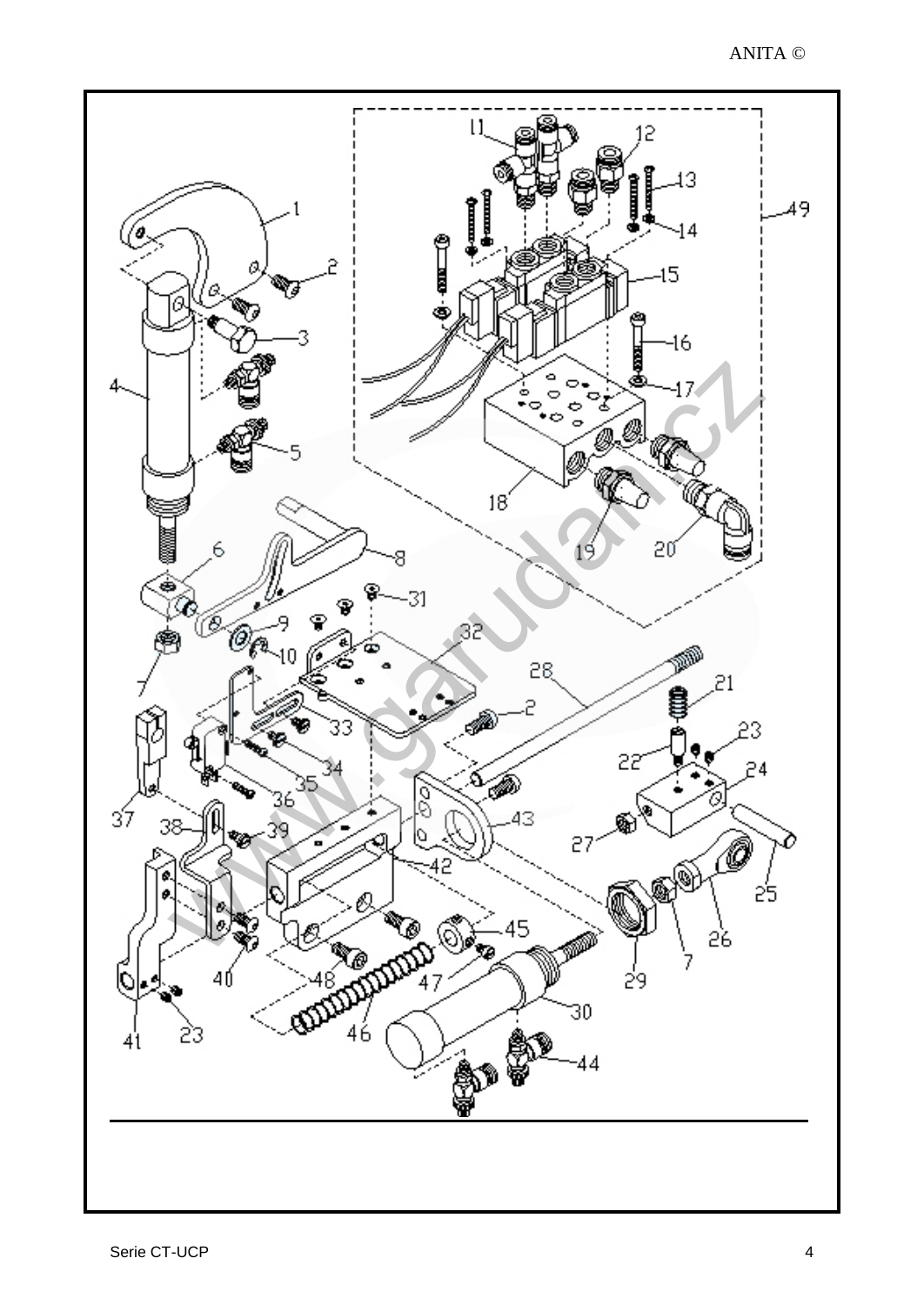